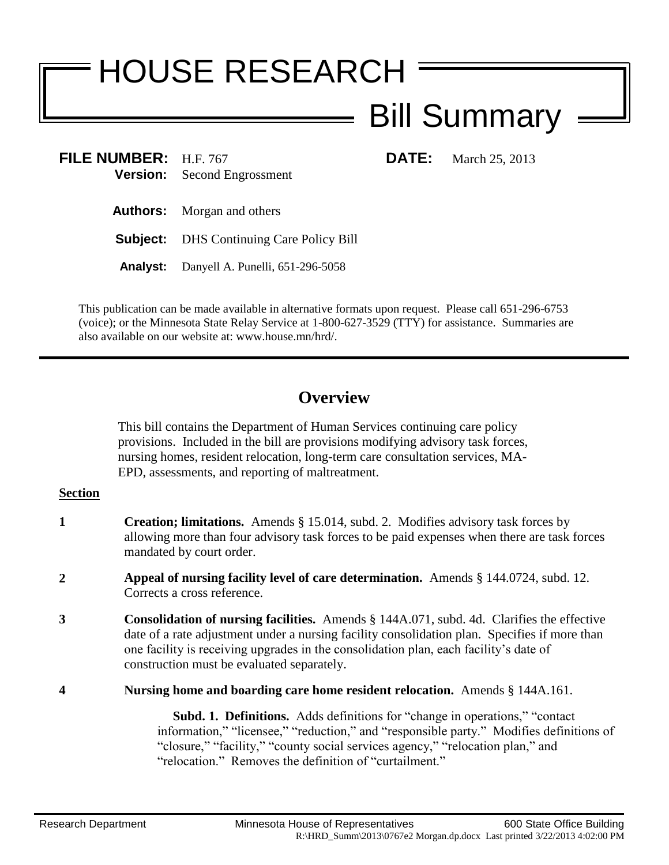# HOUSE RESEARCH

## Bill Summary

**FILE NUMBER:** H.F. 767 **DATE:** March 25, 2013 **Version:** Second Engrossment

**Authors:** Morgan and others

**Subject:** DHS Continuing Care Policy Bill

**Analyst:** Danyell A. Punelli, 651-296-5058

This publication can be made available in alternative formats upon request. Please call 651-296-6753 (voice); or the Minnesota State Relay Service at 1-800-627-3529 (TTY) for assistance. Summaries are also available on our website at: www.house.mn/hrd/.

### **Overview**

This bill contains the Department of Human Services continuing care policy provisions. Included in the bill are provisions modifying advisory task forces, nursing homes, resident relocation, long-term care consultation services, MA-EPD, assessments, and reporting of maltreatment.

#### **Section**

- **1 Creation; limitations.** Amends § 15.014, subd. 2. Modifies advisory task forces by allowing more than four advisory task forces to be paid expenses when there are task forces mandated by court order.
- **2 Appeal of nursing facility level of care determination.** Amends § 144.0724, subd. 12. Corrects a cross reference.
- **3 Consolidation of nursing facilities.** Amends § 144A.071, subd. 4d. Clarifies the effective date of a rate adjustment under a nursing facility consolidation plan. Specifies if more than one facility is receiving upgrades in the consolidation plan, each facility's date of construction must be evaluated separately.
- **4 Nursing home and boarding care home resident relocation.** Amends § 144A.161.

 **Subd. 1. Definitions.** Adds definitions for "change in operations," "contact information," "licensee," "reduction," and "responsible party." Modifies definitions of "closure," "facility," "county social services agency," "relocation plan," and "relocation." Removes the definition of "curtailment."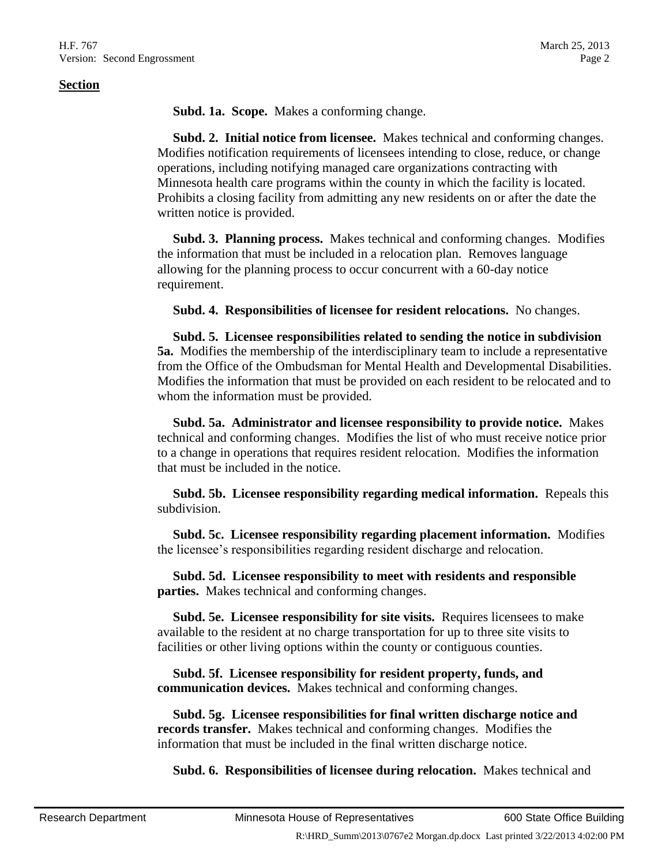#### **Section**

**Subd. 1a. Scope.** Makes a conforming change.

 **Subd. 2. Initial notice from licensee.** Makes technical and conforming changes. Modifies notification requirements of licensees intending to close, reduce, or change operations, including notifying managed care organizations contracting with Minnesota health care programs within the county in which the facility is located. Prohibits a closing facility from admitting any new residents on or after the date the written notice is provided.

 **Subd. 3. Planning process.** Makes technical and conforming changes. Modifies the information that must be included in a relocation plan. Removes language allowing for the planning process to occur concurrent with a 60-day notice requirement.

**Subd. 4. Responsibilities of licensee for resident relocations.** No changes.

 **Subd. 5. Licensee responsibilities related to sending the notice in subdivision 5a.** Modifies the membership of the interdisciplinary team to include a representative from the Office of the Ombudsman for Mental Health and Developmental Disabilities. Modifies the information that must be provided on each resident to be relocated and to whom the information must be provided.

 **Subd. 5a. Administrator and licensee responsibility to provide notice.** Makes technical and conforming changes. Modifies the list of who must receive notice prior to a change in operations that requires resident relocation. Modifies the information that must be included in the notice.

 **Subd. 5b. Licensee responsibility regarding medical information.** Repeals this subdivision.

 **Subd. 5c. Licensee responsibility regarding placement information.** Modifies the licensee's responsibilities regarding resident discharge and relocation.

 **Subd. 5d. Licensee responsibility to meet with residents and responsible parties.** Makes technical and conforming changes.

 **Subd. 5e. Licensee responsibility for site visits.** Requires licensees to make available to the resident at no charge transportation for up to three site visits to facilities or other living options within the county or contiguous counties.

 **Subd. 5f. Licensee responsibility for resident property, funds, and communication devices.** Makes technical and conforming changes.

 **Subd. 5g. Licensee responsibilities for final written discharge notice and records transfer.** Makes technical and conforming changes. Modifies the information that must be included in the final written discharge notice.

**Subd. 6. Responsibilities of licensee during relocation.** Makes technical and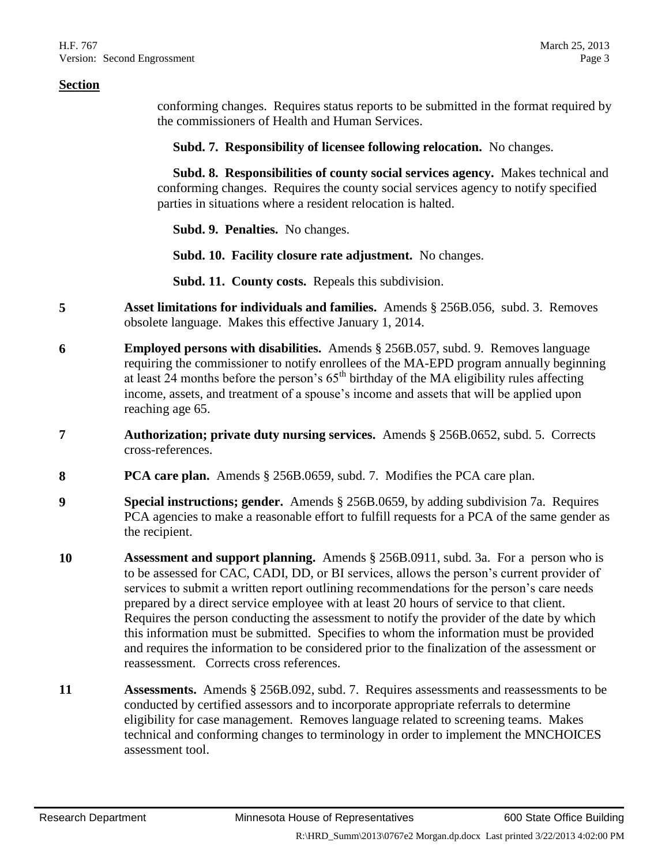#### **Section**

conforming changes. Requires status reports to be submitted in the format required by the commissioners of Health and Human Services.

**Subd. 7. Responsibility of licensee following relocation.** No changes.

 **Subd. 8. Responsibilities of county social services agency.** Makes technical and conforming changes. Requires the county social services agency to notify specified parties in situations where a resident relocation is halted.

**Subd. 9. Penalties.** No changes.

**Subd. 10. Facility closure rate adjustment.** No changes.

**Subd. 11. County costs.** Repeals this subdivision.

- **5 Asset limitations for individuals and families.** Amends § 256B.056, subd. 3. Removes obsolete language. Makes this effective January 1, 2014.
- **6 Employed persons with disabilities.** Amends § 256B.057, subd. 9. Removes language requiring the commissioner to notify enrollees of the MA-EPD program annually beginning at least  $24$  months before the person's  $65<sup>th</sup>$  birthday of the MA eligibility rules affecting income, assets, and treatment of a spouse's income and assets that will be applied upon reaching age 65.
- **7 Authorization; private duty nursing services.** Amends § 256B.0652, subd. 5. Corrects cross-references.
- **8 PCA care plan.** Amends § 256B.0659, subd. 7. Modifies the PCA care plan.
- **9 Special instructions; gender.** Amends § 256B.0659, by adding subdivision 7a. Requires PCA agencies to make a reasonable effort to fulfill requests for a PCA of the same gender as the recipient.
- **10 Assessment and support planning.** Amends § 256B.0911, subd. 3a. For a person who is to be assessed for CAC, CADI, DD, or BI services, allows the person's current provider of services to submit a written report outlining recommendations for the person's care needs prepared by a direct service employee with at least 20 hours of service to that client. Requires the person conducting the assessment to notify the provider of the date by which this information must be submitted. Specifies to whom the information must be provided and requires the information to be considered prior to the finalization of the assessment or reassessment. Corrects cross references.
- **11 Assessments.** Amends § 256B.092, subd. 7. Requires assessments and reassessments to be conducted by certified assessors and to incorporate appropriate referrals to determine eligibility for case management. Removes language related to screening teams. Makes technical and conforming changes to terminology in order to implement the MNCHOICES assessment tool.